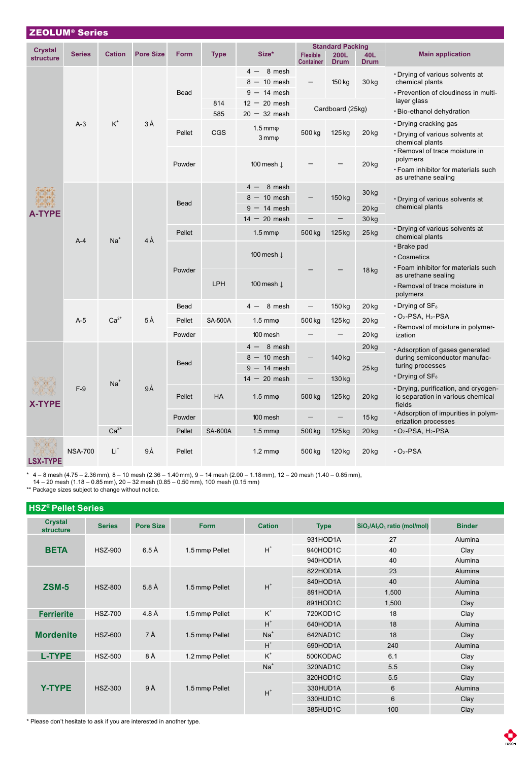| <b>ZEOLUM® Series</b> |                |               |                  |             |                |                                  |                                     |                          |                    |                                                                                     |  |
|-----------------------|----------------|---------------|------------------|-------------|----------------|----------------------------------|-------------------------------------|--------------------------|--------------------|-------------------------------------------------------------------------------------|--|
| <b>Crystal</b>        |                |               |                  |             |                |                                  |                                     | <b>Standard Packing</b>  |                    |                                                                                     |  |
| <b>structure</b>      | <b>Series</b>  | <b>Cation</b> | <b>Pore Size</b> | <b>Form</b> | <b>Type</b>    | Size*                            | <b>Flexible</b><br><b>Container</b> | 200L<br><b>Drum</b>      | 40L<br><b>Drum</b> | <b>Main application</b>                                                             |  |
|                       | $A-3$          |               | 3Å               | <b>Bead</b> |                | 8 mesh<br>$4 -$<br>$8 - 10$ mesh |                                     | 150 kg                   | 30 kg              | • Drying of various solvents at<br>chemical plants                                  |  |
|                       |                |               |                  |             |                | $9 - 14$ mesh                    |                                     |                          |                    | · Prevention of cloudiness in multi-                                                |  |
|                       |                | $K^+$         |                  |             | 814            | $12 - 20$ mesh                   |                                     |                          |                    | layer glass                                                                         |  |
|                       |                |               |                  |             | 585            | $20 - 32$ mesh                   | Cardboard (25kg)                    |                          |                    | · Bio-ethanol dehydration                                                           |  |
|                       |                |               |                  | Pellet      |                | $1.5 \text{mm} \varphi$          |                                     | 125 kg                   | 20 kg              | • Drying cracking gas                                                               |  |
|                       |                |               |                  |             | <b>CGS</b>     | $3 \text{mm} \varphi$            | 500 kg                              |                          |                    | • Drying of various solvents at<br>chemical plants                                  |  |
|                       |                |               |                  | Powder      |                | 100 mesh $\perp$                 |                                     |                          | $20$ kg            | · Removal of trace moisture in<br>polymers                                          |  |
|                       |                |               |                  |             |                |                                  |                                     |                          |                    | · Foam inhibitor for materials such<br>as urethane sealing                          |  |
|                       |                | $Na+$         | $4\AA$           | <b>Bead</b> |                | $4 - 8$ mesh                     |                                     | 150 kg                   | 30 kg              |                                                                                     |  |
|                       |                |               |                  |             |                | $8 - 10$ mesh                    |                                     |                          |                    | • Drying of various solvents at                                                     |  |
| TYPE.                 |                |               |                  |             |                | $9 - 14$ mesh                    |                                     |                          | $20$ kg            | chemical plants                                                                     |  |
|                       |                |               |                  |             |                | $14 - 20$ mesh                   | $\qquad \qquad -$                   | $\overline{\phantom{0}}$ | 30 kg              |                                                                                     |  |
|                       | $A-4$          |               |                  | Pellet      |                | $1.5 \text{mm}\varphi$           | 500 kg                              | 125 kg                   | 25 kg              | • Drying of various solvents at<br>chemical plants                                  |  |
|                       |                |               |                  | Powder      |                |                                  |                                     |                          | 18 kg              | · Brake pad                                                                         |  |
|                       |                |               |                  |             |                | 100 mesh $\downarrow$            |                                     |                          |                    | • Cosmetics                                                                         |  |
|                       |                |               |                  |             | LPH            | 100 mesh $\downarrow$            |                                     |                          |                    | · Foam inhibitor for materials such<br>as urethane sealing                          |  |
|                       |                |               |                  |             |                |                                  |                                     |                          |                    | · Removal of trace moisture in                                                      |  |
|                       |                |               |                  |             |                |                                  |                                     |                          |                    | polymers                                                                            |  |
|                       | $A-5$          | $Ca2+$        | 5Å               | Bead        |                | 8 mesh                           |                                     | 150 kg                   | 20 kg              | $\cdot$ Drying of SF <sub>6</sub>                                                   |  |
|                       |                |               |                  | Pellet      | <b>SA-500A</b> | $1.5 \text{ mm}$ $\phi$          | 500 kg                              | 125 kg                   | 20 kg              | $\cdot$ O2-PSA, H2-PSA<br>· Removal of moisture in polymer-                         |  |
|                       |                |               |                  | Powder      |                | 100 mesh                         |                                     |                          | 20 kg              | ization                                                                             |  |
| <b>X-TYPE</b>         | $F-9$          | $Na+$         | 9Å               | Bead        |                | $4 - 8$ mesh                     |                                     | 140 kg                   | 20 kg              | · Adsorption of gases generated                                                     |  |
|                       |                |               |                  |             |                | $8 - 10$ mesh                    |                                     |                          | 25 kg              | during semiconductor manufac-                                                       |  |
|                       |                |               |                  |             |                | $9 - 14$ mesh                    |                                     |                          |                    | turing processes                                                                    |  |
|                       |                |               |                  |             |                | $14 - 20$ mesh                   | $\qquad \qquad -$                   | 130 kg                   |                    | $\cdot$ Drying of SF <sub>6</sub>                                                   |  |
|                       |                |               |                  | Pellet      | <b>HA</b>      | $1.5 \text{ mm}$ $\phi$          | 500 kg                              | 125 kg                   | $20$ kg            | · Drying, purification, and cryogen-<br>ic separation in various chemical<br>fields |  |
|                       |                |               |                  | Powder      |                | 100 mesh                         |                                     |                          | $15$ kg            | • Adsorption of impurities in polym-<br>erization processes                         |  |
|                       |                | $Ca2+$        |                  | Pellet      | <b>SA-600A</b> | $1.5 \text{ mm}$ $\phi$          | 500 kg                              | 125 kg                   | $20$ kg            | $\cdot$ O <sub>2</sub> -PSA, H <sub>2</sub> -PSA                                    |  |
| <b>QV TVDE</b>        | <b>NSA-700</b> | Lit           | 9Å               | Pellet      |                | $1.2 \text{ mm}$ $\phi$          | 500 kg                              | 120 kg                   | 20 kg              | $\cdot$ O <sub>2</sub> -PSA                                                         |  |

LSX-TYPE

\* 4 – 8 mesh (4.75 – 2.36 mm), 8 – 10 mesh (2.36 – 1.40 mm), 9 – 14 mesh (2.00 – 1.18 mm), 12 – 20 mesh (1.40 – 0.85 mm),<br> 14 – 20 mesh (1.18 – 0.85 mm), 20 – 32 mesh (0.85 – 0.50 mm), 100 mesh (0.15 mm)<br>\*\* Package si

| <b>HSZ<sup>®</sup> Pellet Series</b> |                |                   |                |               |             |                                                                  |               |  |  |
|--------------------------------------|----------------|-------------------|----------------|---------------|-------------|------------------------------------------------------------------|---------------|--|--|
| <b>Crystal</b><br><b>structure</b>   | <b>Series</b>  | <b>Pore Size</b>  | <b>Form</b>    | <b>Cation</b> | <b>Type</b> | SiO <sub>2</sub> /Al <sub>2</sub> O <sub>3</sub> ratio (mol/mol) | <b>Binder</b> |  |  |
| <b>BETA</b>                          | <b>HSZ-900</b> | $6.5\,\text{\AA}$ | 1.5 mmo Pellet | $H^*$         | 931HOD1A    | 27                                                               | Alumina       |  |  |
|                                      |                |                   |                |               | 940HOD1C    | 40                                                               | Clay          |  |  |
|                                      |                |                   |                |               | 940HOD1A    | 40                                                               | Alumina       |  |  |
|                                      |                | $5.8\text{ Å}$    | 1.5 mmo Pellet | $H^*$         | 822HOD1A    | 23                                                               | Alumina       |  |  |
| $ZSM-5$                              | <b>HSZ-800</b> |                   |                |               | 840HOD1A    | 40                                                               | Alumina       |  |  |
|                                      |                |                   |                |               | 891HOD1A    | 1,500                                                            | Alumina       |  |  |
|                                      |                |                   |                |               | 891HOD1C    | 1,500                                                            | Clay          |  |  |
| <b>Ferrierite</b>                    | <b>HSZ-700</b> | 4.8 Å             | 1.5 mmo Pellet | $K^+$         | 720KOD1C    | 18                                                               | Clay          |  |  |
|                                      |                | 7Å                | 1.5 mmo Pellet | $H^*$         | 640HOD1A    | 18                                                               | Alumina       |  |  |
| <b>Mordenite</b>                     | <b>HSZ-600</b> |                   |                | $Na+$         | 642NAD1C    | 18                                                               | Clay          |  |  |
|                                      |                |                   |                | $H^*$         | 690HOD1A    | 240                                                              | Alumina       |  |  |
| <b>L-TYPE</b>                        | <b>HSZ-500</b> | 8Å                | 1.2 mmo Pellet | $K^+$         | 500KODAC    | 6.1                                                              | Clay          |  |  |
|                                      | <b>HSZ-300</b> | 9Å                | 1.5 mmo Pellet | $Na+$         | 320NAD1C    | 5.5                                                              | Clay          |  |  |
|                                      |                |                   |                | $H^*$         | 320HOD1C    | 5.5                                                              | Clay          |  |  |
| <b>Y-TYPE</b>                        |                |                   |                |               | 330HUD1A    | 6                                                                | Alumina       |  |  |
|                                      |                |                   |                |               | 330HUD1C    | $6\phantom{1}6$                                                  | Clay          |  |  |
|                                      |                |                   |                |               | 385HUD1C    | 100                                                              | Clay          |  |  |

\* Please don't hesitate to ask if you are interested in another type.